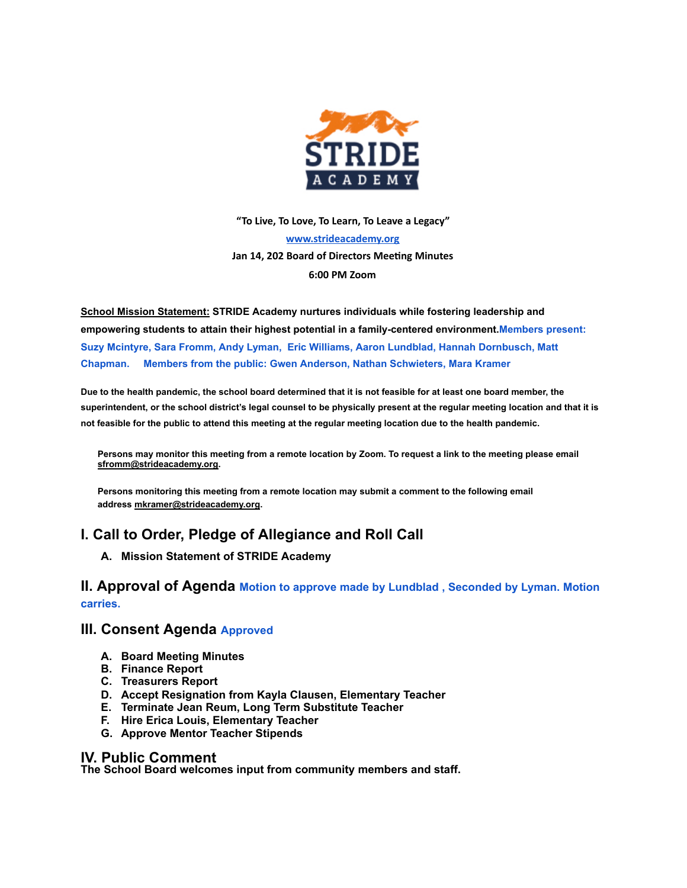

**"To Live, To Love, To Learn, To Leave a Legacy" [www.strideacademy.org](http://www.strideacademy.org/) Jan 14, 202 Board of Directors Meeng Minutes 6:00 PM Zoom**

**School Mission Statement: STRIDE Academy nurtures individuals while fostering leadership and empowering students to attain their highest potential in a family-centered environment. Members present: Suzy Mcintyre, Sara Fromm, Andy Lyman, Eric Williams, Aaron Lundblad, Hannah Dornbusch, Matt Chapman. Members from the public: Gwen Anderson, Nathan Schwieters, Mara Kramer** 

Due to the health pandemic, the school board determined that it is not feasible for at least one board member, the superintendent, or the school district's legal counsel to be physically present at the regular meeting location and that it is not feasible for the public to attend this meeting at the regular meeting location due to the health pandemic.

Persons may monitor this meeting from a remote location by Zoom. To request a link to the meeting please email **sfromm@strideacademy.org.**

**Persons monitoring this meeting from a remote location may submit a comment to the following email address mkramer@strideacademy.org.**

# **I. Call to Order, Pledge of Allegiance and Roll Call**

**A. Mission Statement of STRIDE Academy**

## **II. Approval of Agenda Motion to approve made by Lundblad , Seconded by Lyman. Motion carries.**

### **III. Consent Agenda Approved**

- **A. Board Meeting Minutes**
- **B. Finance Report**
- **C. Treasurers Report**
- **D. Accept Resignation from Kayla Clausen, Elementary Teacher**
- **E. Terminate Jean Reum, Long Term Substitute Teacher**
- **F. Hire Erica Louis, Elementary Teacher**
- **G. Approve Mentor Teacher Stipends**

#### **IV. Public Comment**

**The School Board welcomes input from community members and staff.**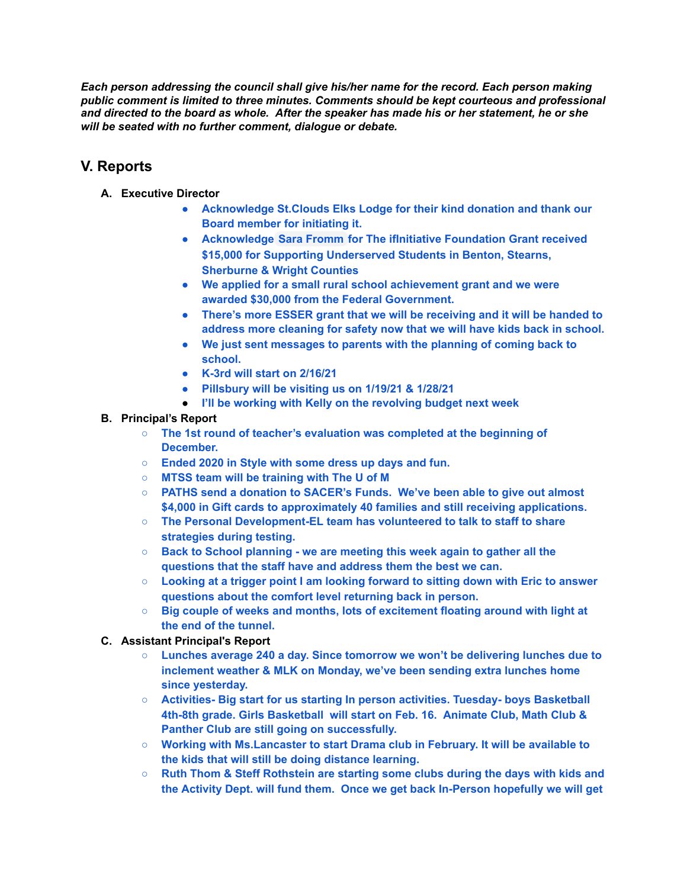*Each person addressing the council shall give his/her name for the record. Each person making public comment is limited to three minutes. Comments should be kept courteous and professional* and directed to the board as whole. After the speaker has made his or her statement, he or she *will be seated with no further comment, dialogue or debate.*

# **V. Reports**

- **A. Executive Director**
	- **● Acknowledge St.Clouds Elks Lodge for their kind donation and thank our Board member for initiating it.**
	- **● Acknowledge Sara Fromm for The ifInitiative Foundation Grant received \$15,000 for Supporting Underserved Students in Benton, Stearns, Sherburne & Wright Counties**
	- **● We applied for a small rural school achievement grant and we were awarded \$30,000 from the Federal Government.**
	- **● There's more ESSER grant that we will be receiving and it will be handed to address more cleaning for safety now that we will have kids back in school.**
	- **● We just sent messages to parents with the planning of coming back to school.**
	- **● K-3rd will start on 2/16/21**
	- **● Pillsbury will be visiting us on 1/19/21 & 1/28/21**
	- **● I'll be working with Kelly on the revolving budget next week**

### **B. Principal's Report**

- **○ The 1st round of teacher's evaluation was completed at the beginning of December.**
- **○ Ended 2020 in Style with some dress up days and fun.**
- **○ MTSS team will be training with The U of M**
- **○ PATHS send a donation to SACER's Funds. We've been able to give out almost \$4,000 in Gift cards to approximately 40 families and still receiving applications.**
- **○ The Personal Development-EL team has volunteered to talk to staff to share strategies during testing.**
- **○ Back to School planning - we are meeting this week again to gather all the questions that the staff have and address them the best we can.**
- **○ Looking at a trigger point I am looking forward to sitting down with Eric to answer questions about the comfort level returning back in person.**
- **○ Big couple of weeks and months, lots of excitement floating around with light at the end of the tunnel.**

#### **C. Assistant Principal's Report**

- **○ Lunches average 240 a day. Since tomorrow we won't be delivering lunches due to inclement weather & MLK on Monday, we've been sending extra lunches home since yesterday.**
- **○ Activities- Big start for us starting In person activities. Tuesday- boys Basketball 4th-8th grade. Girls Basketball will start on Feb. 16. Animate Club, Math Club & Panther Club are still going on successfully.**
- **○ Working with Ms.Lancaster to start Drama club in February. It will be available to the kids that will still be doing distance learning.**
- **○ Ruth Thom & Steff Rothstein are starting some clubs during the days with kids and the Activity Dept. will fund them. Once we get back In-Person hopefully we will get**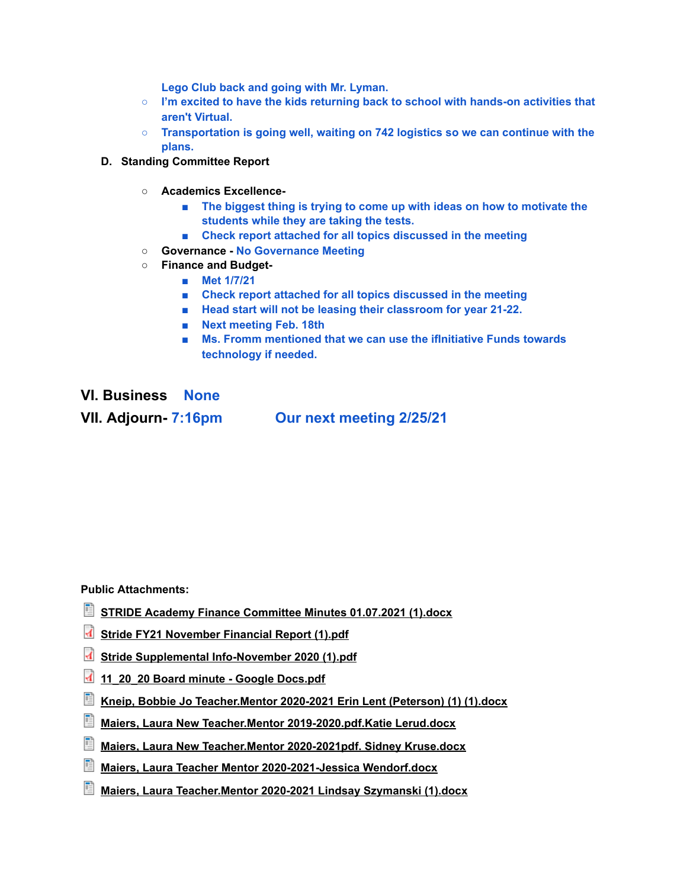**Lego Club back and going with Mr. Lyman.**

- **○ I'm excited to have the kids returning back to school with hands-on activities that aren't Virtual.**
- **○ Transportation is going well, waiting on 742 logistics so we can continue with the plans.**
- **D. Standing Committee Report**
	- **○ Academics Excellence-**
		- **■ The biggest thing is trying to come up with ideas on how to motivate the students while they are taking the tests.**
		- **■ Check report attached for all topics discussed in the meeting**
	- **○ Governance - No Governance Meeting**
	- **○ Finance and Budget-**
		- **■ Met 1/7/21**
		- **■ Check report attached for all topics discussed in the meeting**
		- **■ Head start will not be leasing their classroom for year 21-22.**
		- **■ Next meeting Feb. 18th**
		- **■ Ms. Fromm mentioned that we can use the ifInitiative Funds towards technology if needed.**

**VI. Business None VII. Adjourn- 7:16pm Our next meeting 2/25/21**

**Public Attachments:**

- **STRIDE Academy Finance [Committee](https://strideacademy.schoolboard.net/sites/strideacademy.schoolboard.net/files/STRIDE%20Academy%20Finance%20Committee%20Minutes%2001.07.2021%20%281%29.docx) Minutes 01.07.2021 (1).docx**
- **Stride FY21 [November](https://strideacademy.schoolboard.net/sites/strideacademy.schoolboard.net/files/Stride%20FY21%20November%20Financial%20Report%20%281%29.pdf) Financial Report (1).pdf**
- **Stride Supplemental [Info-November](https://strideacademy.schoolboard.net/sites/strideacademy.schoolboard.net/files/Stride%20Supplemental%20Info-November%202020%20%281%29.pdf) 2020 (1).pdf**
- **[11\\_20\\_20](https://strideacademy.schoolboard.net/sites/strideacademy.schoolboard.net/files/11_20_20%20Board%20minute%20-%20Google%20Docs.pdf) Board minute - Google Docs.pdf**
- **Kneip, Bobbie Jo [Teacher.Mentor](https://strideacademy.schoolboard.net/sites/strideacademy.schoolboard.net/files/Kneip%2C%20Bobbie%20Jo%20Teacher.Mentor%202020-2021%20Erin%20Lent%20%28Peterson%29%20%281%29%20%281%29.docx) 2020-2021 Erin Lent (Peterson) (1) (1).docx**
- **Maiers, Laura New Teacher.Mentor [2019-2020.pdf.Katie](https://strideacademy.schoolboard.net/sites/strideacademy.schoolboard.net/files/Maiers%2C%20Laura%20New%20Teacher.Mentor%202019-2020.pdf.Katie%20Lerud.docx) Lerud.docx**
- **Maiers, Laura New [Teacher.Mentor](https://strideacademy.schoolboard.net/sites/strideacademy.schoolboard.net/files/Maiers%2C%20Laura%20New%20Teacher.Mentor%202020-2021pdf.%20Sidney%20Kruse.docx) 2020-2021pdf. Sidney Kruse.docx**
- **Maiers, Laura Teacher Mentor [2020-2021-Jessica](https://strideacademy.schoolboard.net/sites/strideacademy.schoolboard.net/files/Maiers%2C%20Laura%20Teacher%20Mentor%202020-2021-Jessica%20Wendorf.docx) Wendorf.docx**
- **Maiers, Laura [Teacher.Mentor](https://strideacademy.schoolboard.net/sites/strideacademy.schoolboard.net/files/Maiers%2C%20Laura%20Teacher.Mentor%202020-2021%20Lindsay%20Szymanski%20%281%29.docx) 2020-2021 Lindsay Szymanski (1).docx**